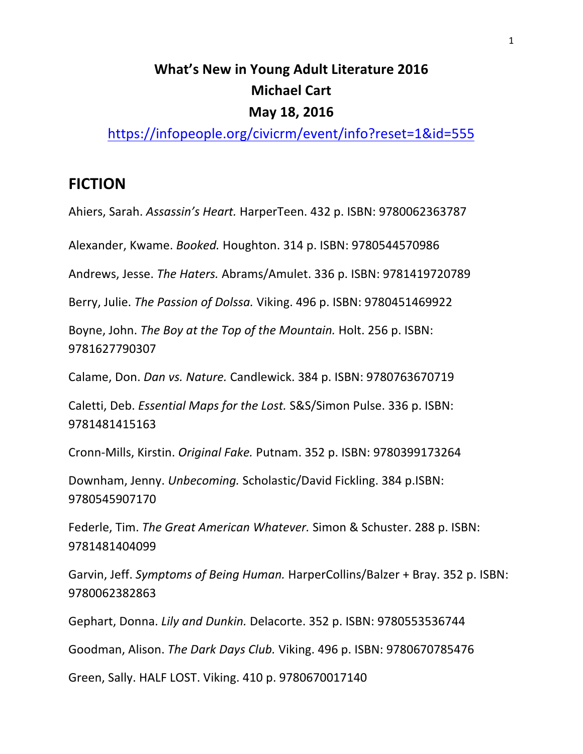# **What's New in Young Adult Literature 2016 Michael Cart May 18, 2016**

https://infopeople.org/civicrm/event/info?reset=1&id=555

#### **FICTION**

Ahiers, Sarah. Assassin's Heart. HarperTeen. 432 p. ISBN: 9780062363787

Alexander, Kwame. *Booked.* Houghton. 314 p. ISBN: 9780544570986

Andrews, Jesse. *The Haters.* Abrams/Amulet. 336 p. ISBN: 9781419720789

Berry, Julie. The Passion of Dolssa. Viking. 496 p. ISBN: 9780451469922

Boyne, John. *The Boy at the Top of the Mountain*. Holt. 256 p. ISBN: 9781627790307 

Calame, Don. *Dan vs. Nature.* Candlewick. 384 p. ISBN: 9780763670719

Caletti, Deb. *Essential Maps for the Lost.* S&S/Simon Pulse. 336 p. ISBN: 9781481415163 

Cronn-Mills, Kirstin. *Original Fake.* Putnam. 352 p. ISBN: 9780399173264

Downham, Jenny. *Unbecoming.* Scholastic/David Fickling. 384 p.ISBN: 9780545907170

Federle, Tim. *The Great American Whatever.* Simon & Schuster. 288 p. ISBN: 9781481404099 

Garvin, Jeff. Symptoms of Being Human. HarperCollins/Balzer + Bray. 352 p. ISBN: 9780062382863

Gephart, Donna. Lily and Dunkin. Delacorte. 352 p. ISBN: 9780553536744

Goodman, Alison. *The Dark Days Club.* Viking. 496 p. ISBN: 9780670785476

Green, Sally. HALF LOST. Viking. 410 p. 9780670017140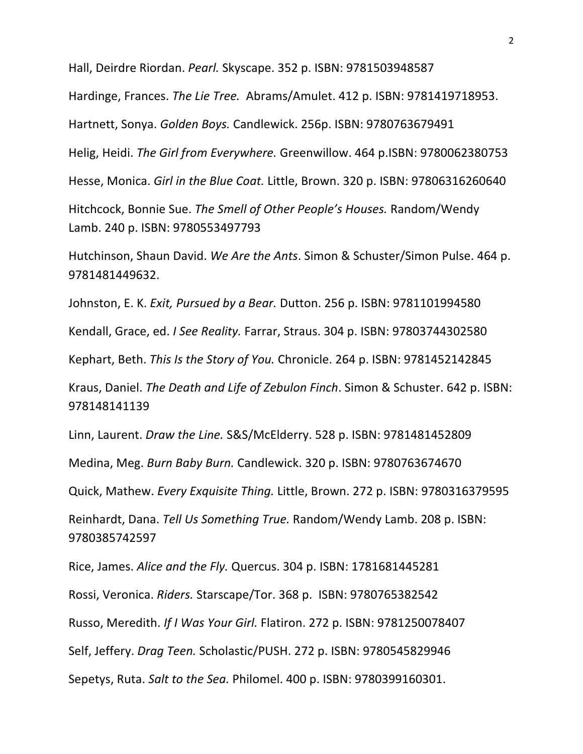Hall, Deirdre Riordan. *Pearl.* Skyscape. 352 p. ISBN: 9781503948587

Hardinge, Frances. *The Lie Tree.* Abrams/Amulet. 412 p. ISBN: 9781419718953.

Hartnett, Sonya. Golden Boys. Candlewick. 256p. ISBN: 9780763679491

Helig, Heidi. *The Girl from Everywhere.* Greenwillow. 464 p.ISBN: 9780062380753

Hesse, Monica. Girl in the Blue Coat. Little, Brown. 320 p. ISBN: 97806316260640

Hitchcock, Bonnie Sue. The Smell of Other People's Houses. Random/Wendy Lamb. 240 p. ISBN: 9780553497793

Hutchinson, Shaun David. We Are the Ants. Simon & Schuster/Simon Pulse. 464 p. 9781481449632. 

Johnston, E. K. *Exit, Pursued by a Bear.* Dutton. 256 p. ISBN: 9781101994580

Kendall, Grace, ed. *I See Reality*. Farrar, Straus. 304 p. ISBN: 97803744302580

Kephart, Beth. This Is the Story of You. Chronicle. 264 p. ISBN: 9781452142845

Kraus, Daniel. *The Death and Life of Zebulon Finch*. Simon & Schuster. 642 p. ISBN: 978148141139 

Linn, Laurent. *Draw the Line.* S&S/McElderry. 528 p. ISBN: 9781481452809

Medina, Meg. Burn Baby Burn. Candlewick. 320 p. ISBN: 9780763674670

Quick, Mathew. *Every Exquisite Thing.* Little, Brown. 272 p. ISBN: 9780316379595

Reinhardt, Dana. *Tell Us Something True.* Random/Wendy Lamb. 208 p. ISBN: 9780385742597

Rice, James. *Alice and the Fly.* Quercus. 304 p. ISBN: 1781681445281

Rossi, Veronica. *Riders.* Starscape/Tor. 368 p. ISBN: 9780765382542

Russo, Meredith. *If I Was Your Girl.* Flatiron. 272 p. ISBN: 9781250078407

Self, Jeffery. *Drag Teen.* Scholastic/PUSH. 272 p. ISBN: 9780545829946

Sepetys, Ruta. *Salt to the Sea.* Philomel. 400 p. ISBN: 9780399160301.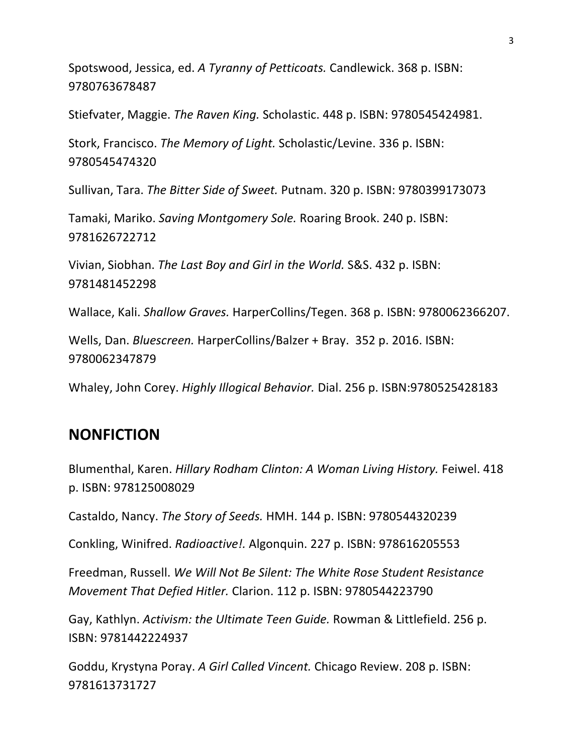Spotswood, Jessica, ed. A Tyranny of Petticoats. Candlewick. 368 p. ISBN: 9780763678487

Stiefvater, Maggie. *The Raven King.* Scholastic. 448 p. ISBN: 9780545424981.

Stork, Francisco. The Memory of Light. Scholastic/Levine. 336 p. ISBN: 9780545474320

Sullivan, Tara. The Bitter Side of Sweet. Putnam. 320 p. ISBN: 9780399173073

Tamaki, Mariko. Saving Montgomery Sole. Roaring Brook. 240 p. ISBN: 9781626722712

Vivian, Siobhan. The Last Boy and Girl in the World. S&S. 432 p. ISBN: 9781481452298

Wallace, Kali. *Shallow Graves.* HarperCollins/Tegen. 368 p. ISBN: 9780062366207.

Wells, Dan. *Bluescreen.* HarperCollins/Balzer + Bray. 352 p. 2016. ISBN: 9780062347879

Whaley, John Corey. *Highly Illogical Behavior.* Dial. 256 p. ISBN:9780525428183

#### **NONFICTION**

Blumenthal, Karen. *Hillary Rodham Clinton: A Woman Living History.* Feiwel. 418 p. ISBN: 978125008029

Castaldo, Nancy. *The Story of Seeds.* HMH. 144 p. ISBN: 9780544320239

Conkling, Winifred. *Radioactive!.* Algonquin. 227 p. ISBN: 978616205553

Freedman, Russell. We Will Not Be Silent: The White Rose Student Resistance *Movement That Defied Hitler. Clarion.* 112 p. ISBN: 9780544223790

Gay, Kathlyn. Activism: the Ultimate Teen Guide. Rowman & Littlefield. 256 p. ISBN: 9781442224937

Goddu, Krystyna Poray. A Girl Called Vincent. Chicago Review. 208 p. ISBN: 9781613731727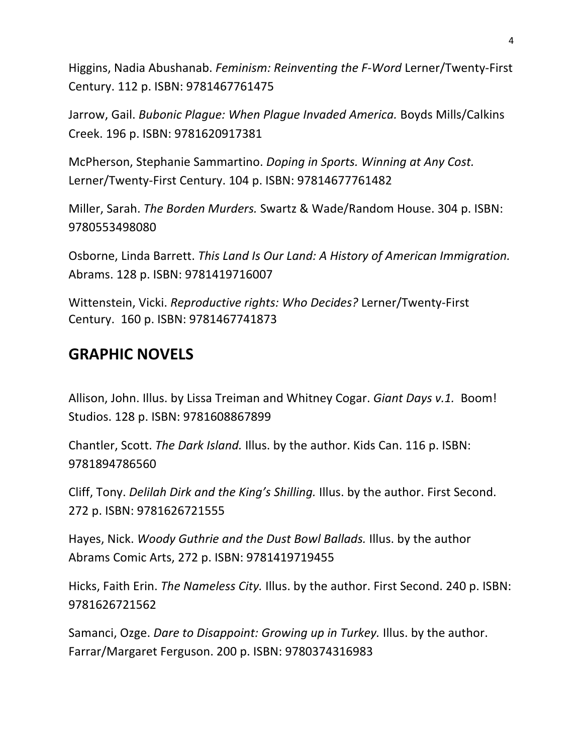Higgins, Nadia Abushanab. *Feminism: Reinventing the F-Word Lerner*/Twenty-First Century. 112 p. ISBN: 9781467761475

Jarrow, Gail. *Bubonic Plague: When Plague Invaded America*. Boyds Mills/Calkins Creek. 196 p. ISBN: 9781620917381

McPherson, Stephanie Sammartino. *Doping in Sports. Winning at Any Cost.* Lerner/Twenty-First Century. 104 p. ISBN: 97814677761482

Miller, Sarah. *The Borden Murders.* Swartz & Wade/Random House. 304 p. ISBN: 9780553498080

Osborne, Linda Barrett. This Land Is Our Land: A History of American Immigration. Abrams. 128 p. ISBN: 9781419716007

Wittenstein, Vicki. *Reproductive rights: Who Decides?* Lerner/Twenty-First Century. 160 p. ISBN: 9781467741873

## **GRAPHIC NOVELS**

Allison, John. Illus. by Lissa Treiman and Whitney Cogar. *Giant Days v.1.* Boom! Studios. 128 p. ISBN: 9781608867899

Chantler, Scott. The Dark Island. Illus. by the author. Kids Can. 116 p. ISBN: 9781894786560

Cliff, Tony. *Delilah Dirk and the King's Shilling.* Illus. by the author. First Second. 272 p. ISBN: 9781626721555

Hayes, Nick. *Woody Guthrie and the Dust Bowl Ballads*. Illus. by the author Abrams Comic Arts, 272 p. ISBN: 9781419719455

Hicks, Faith Erin. *The Nameless City.* Illus. by the author. First Second. 240 p. ISBN: 9781626721562

Samanci, Ozge. *Dare to Disappoint: Growing up in Turkey*. Illus. by the author. Farrar/Margaret Ferguson. 200 p. ISBN: 9780374316983